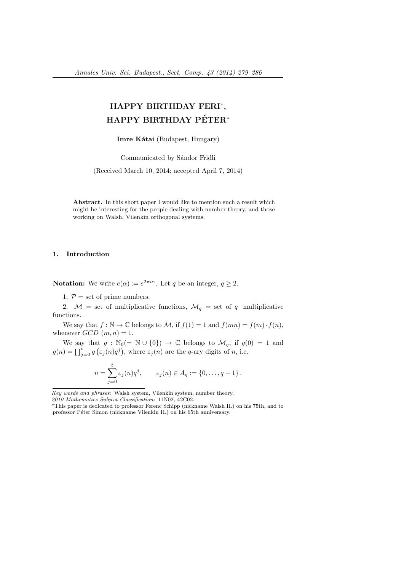# HAPPY BIRTHDAY FERI<sup>∗</sup> , HAPPY BIRTHDAY PÉTER<sup>\*</sup>

Imre Kátai (Budapest, Hungary)

Communicated by Sándor Fridli

(Received March 10, 2014; accepted April 7, 2014)

Abstract. In this short paper I would like to mention such a result which might be interesting for the people dealing with number theory, and those working on Walsh, Vilenkin orthogonal systems.

#### 1. Introduction

**Notation:** We write  $e(\alpha) := e^{2\pi i \alpha}$ . Let q be an integer,  $q \geq 2$ .

1.  $P =$  set of prime numbers.

2.  $\mathcal{M} =$  set of multiplicative functions,  $\mathcal{M}_q =$  set of q-multiplicative functions.

We say that  $f : \mathbb{N} \to \mathbb{C}$  belongs to M, if  $f(1) = 1$  and  $f(mn) = f(m) \cdot f(n)$ , whenever  $GCD(m, n) = 1$ .

We say that  $g : \mathbb{N}_0(=\mathbb{N} \cup \{0\}) \to \mathbb{C}$  belongs to  $\mathcal{M}_q$ , if  $g(0) = 1$  and  $g(n) = \prod_{j=0}^{t} g(\varepsilon_j(n)q^j)$ , where  $\varepsilon_j(n)$  are the q-ary digits of n, i.e.

$$
n = \sum_{j=0}^{t} \varepsilon_j(n) q^j, \qquad \varepsilon_j(n) \in A_q := \{0, \ldots, q-1\}.
$$

Key words and phrases: Walsh system, Vilenkin system, number theory.

2010 Mathematics Subject Classification: 11N02, 42C02.

<sup>∗</sup>This paper is dedicated to professor Ferenc Schipp (nickname Walsh II.) on his 75th, and to professor Péter Simon (nickname Vilenkin II.) on his 65th anniversary.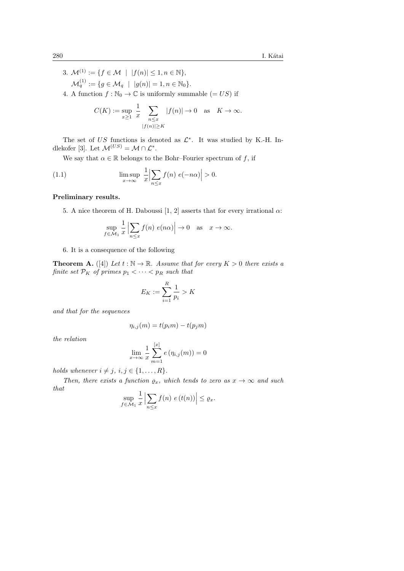3.  $\mathcal{M}^{(1)} := \{ f \in \mathcal{M} \mid |f(n)| \leq 1, n \in \mathbb{N} \},\$  $\mathcal{M}_q^{(1)} := \{g \in \mathcal{M}_q \hspace{2mm} \vert \hspace{2mm} |g(n)| = 1, n \in \mathbb{N}_0\}.$ 4. A function  $f : \mathbb{N}_0 \to \mathbb{C}$  is uniformly summable  $(= US)$  if

$$
C(K) := \sup_{x \ge 1} \frac{1}{x} \sum_{\substack{n \le x \\ |f(n)| \ge K}} |f(n)| \to 0 \quad \text{as} \quad K \to \infty.
$$

The set of US functions is denoted as  $\mathcal{L}^*$ . It was studied by K.-H. Indlekofer [3]. Let  $\mathcal{M}^{(US)} = \mathcal{M} \cap \mathcal{L}^*$ .

We say that  $\alpha \in \mathbb{R}$  belongs to the Bohr–Fourier spectrum of f, if

(1.1) 
$$
\limsup_{x \to \infty} \frac{1}{x} \Big| \sum_{n \le x} f(n) e(-n\alpha) \Big| > 0.
$$

#### Preliminary results.

5. A nice theorem of H. Daboussi [1, 2] asserts that for every irrational  $\alpha$ :

$$
\sup_{f \in \mathcal{M}_1} \frac{1}{x} \left| \sum_{n \le x} f(n) \ e(n\alpha) \right| \to 0 \quad \text{as} \quad x \to \infty.
$$

#### 6. It is a consequence of the following

**Theorem A.** ([4]) Let  $t : \mathbb{N} \to \mathbb{R}$ . Assume that for every  $K > 0$  there exists a finite set  $\mathcal{P}_K$  of primes  $p_1 < \cdots < p_R$  such that

$$
E_K:=\sum_{i=1}^R\frac{1}{p_i}>K
$$

and that for the sequences

$$
\eta_{i,j}(m) = t(p_im) - t(p_jm)
$$

the relation

$$
\lim_{x \to \infty} \frac{1}{x} \sum_{m=1}^{[x]} e(\eta_{i,j}(m)) = 0
$$

holds whenever  $i \neq j, i, j \in \{1, \ldots, R\}.$ 

Then, there exists a function  $\varrho_x$ , which tends to zero as  $x \to \infty$  and such that

$$
\sup_{f \in \mathcal{M}_1} \frac{1}{x} \left| \sum_{n \le x} f(n) \ e(t(n)) \right| \le \varrho_x.
$$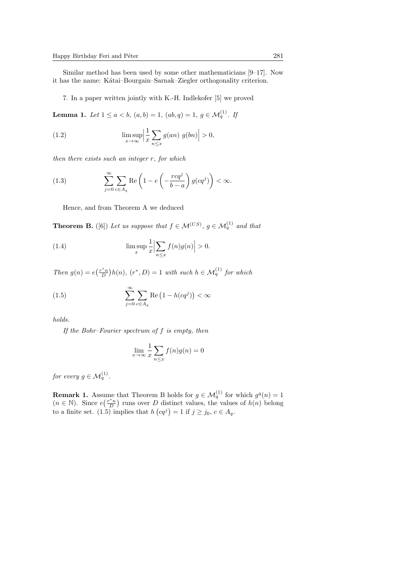Similar method has been used by some other mathematicians [9–17]. Now it has the name: Kátai–Bourgain–Sarnak–Ziegler orthogonality criterion.

7. In a paper written jointly with K.-H. Indlekofer [5] we proved

**Lemma 1.** Let  $1 \le a < b$ ,  $(a, b) = 1$ ,  $(ab, q) = 1$ ,  $g \in \mathcal{M}_q^{(1)}$ . If

(1.2) 
$$
\limsup_{x \to \infty} \left| \frac{1}{x} \sum_{n \leq x} g(an) g(bn) \right| > 0,
$$

then there exists such an integer r, for which

(1.3) 
$$
\sum_{j=0}^{\infty} \sum_{c \in A_q} \text{Re}\left(1 - e\left(-\frac{r c q^j}{b-a}\right) g(c q^j)\right) < \infty.
$$

Hence, and from Theorem A we deduced

**Theorem B.** ([6]) Let us suppose that  $f \in \mathcal{M}^{(US)}$ ,  $g \in \mathcal{M}_q^{(1)}$  and that

(1.4) 
$$
\limsup_{x} \frac{1}{x} \Big| \sum_{n \leq x} f(n)g(n) \Big| > 0.
$$

Then  $g(n) = e(\frac{r^*n}{D})h(n)$ ,  $(r^*, D) = 1$  with such  $h \in \mathcal{M}_q^{(1)}$  for which

(1.5) 
$$
\sum_{j=0}^{\infty} \sum_{c \in A_q} \text{Re}\left(1 - h(cq^j)\right) < \infty
$$

holds.

If the Bohr–Fourier spectrum of f is empty, then

$$
\lim_{x \to \infty} \frac{1}{x} \sum_{n \le x} f(n)g(n) = 0
$$

for every  $g \in \mathcal{M}_q^{(1)}$ .

**Remark 1.** Assume that Theorem B holds for  $g \in \mathcal{M}_q^{(1)}$  for which  $g^q(n) = 1$  $(n \in \mathbb{N})$ . Since  $e(\frac{r^*n}{D})$  runs over D distinct values, the values of  $h(n)$  belong to a finite set. (1.5) implies that  $h(cq^j) = 1$  if  $j \ge j_0, c \in A_q$ .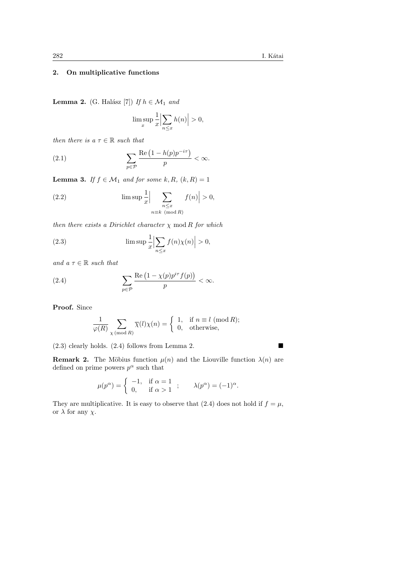## 2. On multiplicative functions

**Lemma 2.** (G. Halász [7]) If  $h \in \mathcal{M}_1$  and

$$
\limsup_{x} \frac{1}{x} \Big| \sum_{n \le x} h(n) \Big| > 0,
$$

then there is a  $\tau \in \mathbb{R}$  such that

(2.1) 
$$
\sum_{p \in \mathcal{P}} \frac{\text{Re}\left(1 - h(p)p^{-i\tau}\right)}{p} < \infty.
$$

**Lemma 3.** If  $f \in M_1$  and for some k, R,  $(k, R) = 1$ 

(2.2) 
$$
\limsup \frac{1}{x} \Big| \sum_{\substack{n \le x \\ n \equiv k \pmod{R}}} f(n) \Big| > 0,
$$

then there exists a Dirichlet character  $\chi$  mod R for which

(2.3) 
$$
\limsup \frac{1}{x} \left| \sum_{n \le x} f(n) \chi(n) \right| > 0,
$$

and  $a \tau \in \mathbb{R}$  such that

(2.4) 
$$
\sum_{p \in \mathcal{P}} \frac{\text{Re}\left(1 - \chi(p)p^{i\tau}f(p)\right)}{p} < \infty.
$$

Proof. Since

$$
\frac{1}{\varphi(R)} \sum_{\chi \, (\text{mod } R)} \overline{\chi}(l) \chi(n) = \left\{ \begin{array}{ll} 1, & \text{if } n \equiv l \ (\text{mod } R); \\ 0, & \text{otherwise}, \end{array} \right.
$$

(2.3) clearly holds. (2.4) follows from Lemma 2.

**Remark 2.** The Möbius function  $\mu(n)$  and the Liouville function  $\lambda(n)$  are defined on prime powers  $p^{\alpha}$  such that

$$
\mu(p^{\alpha}) = \begin{cases}\n-1, & \text{if } \alpha = 1 \\
0, & \text{if } \alpha > 1\n\end{cases}; \quad \lambda(p^{\alpha}) = (-1)^{\alpha}.
$$

They are multiplicative. It is easy to observe that (2.4) does not hold if  $f = \mu$ , or  $\lambda$  for any  $\chi$ .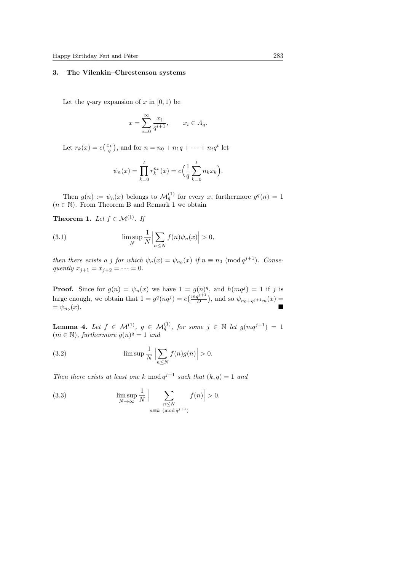## 3. The Vilenkin–Chrestenson systems

Let the q-ary expansion of x in  $[0, 1)$  be

$$
x = \sum_{i=0}^{\infty} \frac{x_i}{q^{i+1}}, \qquad x_i \in A_q.
$$

Let  $r_k(x) = e(\frac{x_k}{q})$ , and for  $n = n_0 + n_1q + \cdots + n_tq^t$  let

$$
\psi_n(x) = \prod_{k=0}^t r_k^{n_k}(x) = e\left(\frac{1}{q}\sum_{k=0}^t n_k x_k\right).
$$

Then  $g(n) := \psi_n(x)$  belongs to  $\mathcal{M}_q^{(1)}$  for every x, furthermore  $g^q(n) = 1$  $(n \in \mathbb{N})$ . From Theorem B and Remark 1 we obtain

**Theorem 1.** Let  $f \in \mathcal{M}^{(1)}$ . If

(3.1) 
$$
\limsup_{N} \frac{1}{N} \Big| \sum_{n \leq N} f(n) \psi_n(x) \Big| > 0,
$$

then there exists a j for which  $\psi_n(x) = \psi_{n_0}(x)$  if  $n \equiv n_0 \pmod{q^{j+1}}$ . Consequently  $x_{j+1} = x_{j+2} = \cdots = 0$ .

**Proof.** Since for  $g(n) = \psi_n(x)$  we have  $1 = g(n)^q$ , and  $h(mq^j) = 1$  if j is large enough, we obtain that  $1 = g^q(nq^j) = e(\frac{mq^{j+1}}{D})$ , and so  $\psi_{n_0+q^{j+1}m}(x) =$  $=\psi_{n_0}(x).$  $(x).$ 

**Lemma 4.** Let  $f \in \mathcal{M}^{(1)}$ ,  $g \in \mathcal{M}_q^{(1)}$ , for some  $j \in \mathbb{N}$  let  $g(mq^{j+1}) = 1$  $(m \in \mathbb{N})$ , furthermore  $g(n)^q = 1$  and

(3.2) 
$$
\limsup \frac{1}{N} \left| \sum_{n \leq N} f(n)g(n) \right| > 0.
$$

Then there exists at least one k mod  $q^{j+1}$  such that  $(k, q) = 1$  and

(3.3) 
$$
\limsup_{N \to \infty} \frac{1}{N} \Big| \sum_{\substack{n \le N \\ n \equiv k \pmod{q^{j+1}}}} f(n) \Big| > 0.
$$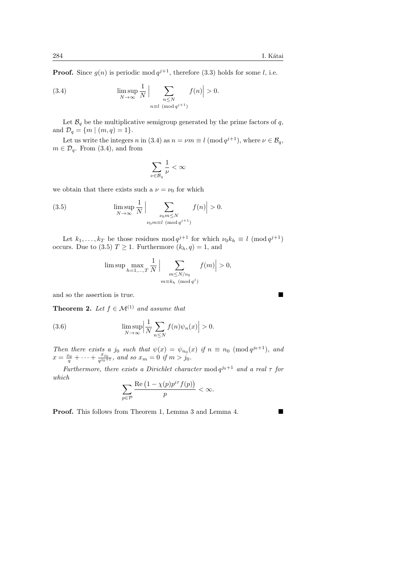**Proof.** Since  $g(n)$  is periodic mod  $q^{j+1}$ , therefore (3.3) holds for some l, i.e.

(3.4) 
$$
\limsup_{N \to \infty} \frac{1}{N} \Big| \sum_{\substack{n \le N \\ n \equiv l \pmod{q^{j+1}}}} f(n) \Big| > 0.
$$

Let  $\mathcal{B}_{q}$  be the multiplicative semigroup generated by the prime factors of q, and  $\mathcal{D}_q = \{m \mid (m, q) = 1\}.$ 

Let us write the integers n in (3.4) as  $n = \nu m \equiv l \pmod{q^{j+1}}$ , where  $\nu \in \mathcal{B}_q$ ,  $m \in \mathcal{D}_q$ . From (3.4), and from

$$
\sum_{\nu\in\mathcal{B}_q}\frac{1}{\nu}<\infty
$$

we obtain that there exists such a  $\nu = \nu_0$  for which

(3.5) 
$$
\limsup_{N \to \infty} \frac{1}{N} \Big| \sum_{\substack{\nu_0 m \le N \\ \nu_0 m \equiv l \pmod{q^{j+1}}}} f(n) \Big| > 0.
$$

Let  $k_1, \ldots, k_T$  be those residues mod  $q^{j+1}$  for which  $\nu_0 k_h \equiv l \pmod{q^{j+1}}$ occurs. Due to (3.5)  $T \geq 1$ . Furthermore  $(k_h, q) = 1$ , and

$$
\limsup \max_{h=1,\ldots,T} \frac{1}{N} \Big| \sum_{\substack{m \le N/\nu_0 \\ m \equiv k_h \pmod{q^j}}} f(m) \Big| > 0,
$$

and so the assertion is true.

**Theorem 2.** Let  $f \in \mathcal{M}^{(1)}$  and assume that

(3.6) 
$$
\limsup_{N \to \infty} \left| \frac{1}{N} \sum_{n \leq N} f(n) \psi_n(x) \right| > 0.
$$

Then there exists a j<sub>0</sub> such that  $\psi(x) = \psi_{n_0}(x)$  if  $n \equiv n_0 \pmod{q^{j_0+1}}$ , and  $x = \frac{x_0}{q} + \cdots + \frac{x_{j_0}}{q^{j_0+1}}$ , and so  $x_m = 0$  if  $m > j_0$ .

Furthermore, there exists a Dirichlet character mod  $q^{j_0+1}$  and a real  $\tau$  for which

$$
\sum_{p \in \mathcal{P}} \frac{\text{Re}\left(1 - \chi(p)p^{i\tau} f(p)\right)}{p} < \infty.
$$

**Proof.** This follows from Theorem 1, Lemma 3 and Lemma 4.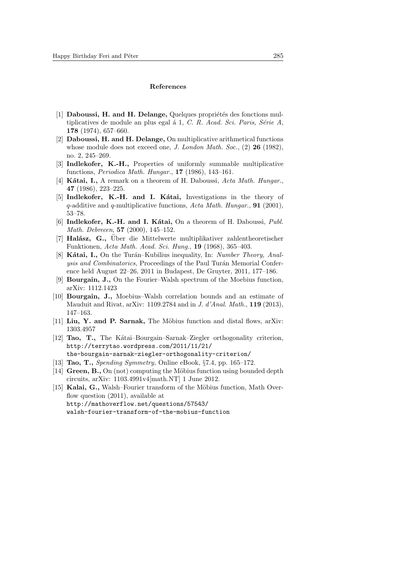#### References

- [1] Daboussi, H. and H. Delange, Quelques propriétés des fonctions multiplicatives de module an plus egal á 1,  $C. R.$  Acad. Sci. Paris, Série A, 178 (1974), 657–660.
- [2] Daboussi, H. and H. Delange, On multiplicative arithmetical functions whose module does not exceed one, *J. London Math. Soc.*, (2) **26** (1982), no. 2, 245–269.
- [3] Indlekofer, K.-H., Properties of uniformly summable multiplicative functions, Periodica Math. Hungar., 17 (1986), 143–161.
- [4] Kátai, I., A remark on a theorem of H. Daboussi, Acta Math. Hungar., 47 (1986), 223–225.
- [5] Indlekofer, K.-H. and I. Kátai, Investigations in the theory of q-additive and q-multiplicative functions, Acta Math. Hungar., **91** (2001), 53–78.
- [6] Indlekofer, K.-H. and I. Kátai, On a theorem of H. Daboussi, Publ. Math. Debrecen, 57 (2000), 145–152.
- $[7]$  Halász, G., Über die Mittelwerte multiplikativer zahlentheoretischer Funktionen, Acta Math. Acad. Sci. Hung., 19 (1968), 365–403.
- [8] Kátai, I., On the Turán–Kubilius inequality, In: Number Theory, Analysis and Combinatorics, Proceedings of the Paul Turán Memorial Conference held August 22–26, 2011 in Budapest, De Gruyter, 2011, 177–186.
- [9] Bourgain, J., On the Fourier–Walsh spectrum of the Moebius function, arXiv: 1112.1423
- [10] Bourgain, J., Moebius–Walsh correlation bounds and an estimate of Mauduit and Rivat, arXiv: 1109.2784 and in J. d'Anal. Math., 119 (2013), 147–163.
- [11] Liu, Y. and P. Sarnak, The Möbius function and distal flows, arXiv: 1303.4957
- [12] **Tao, T.,** The Katai–Bourgain–Sarnak–Ziegler orthogonality criterion, http://terrytao.wordpress.com/2011/11/21/ the-bourgain-sarnak-ziegler-orthogonality-criterion/
- [13] **Tao, T.,** Spending Symmetry, Online eBook, §7.4, pp. 165–172.
- [14] Green,  $\mathbf{B}$ ., On (not) computing the Möbius function using bounded depth circuits, arXiv: 1103.4991v4[math.NT] 1 June 2012.
- [15] Kalai, G., Walsh–Fourier transform of the Möbius function, Math Overflow question (2011), available at http://mathoverflow.net/questions/57543/ walsh-fourier-transform-of-the-mobius-function